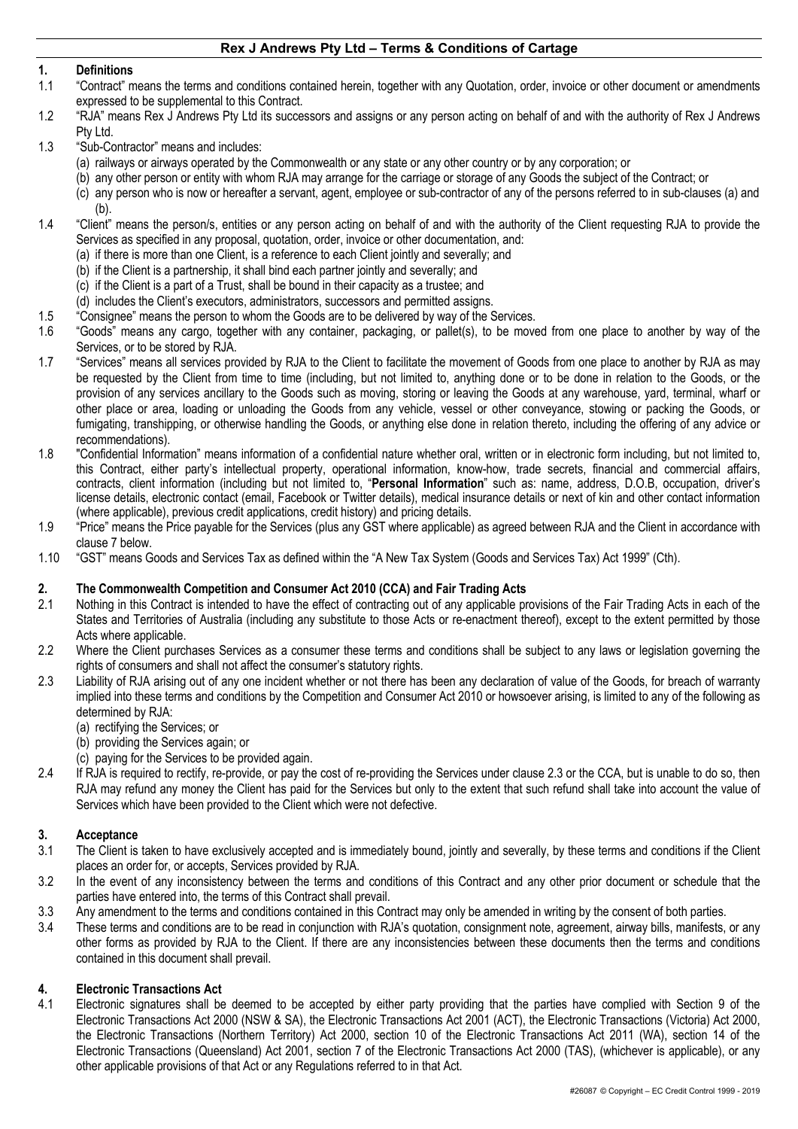## **1. Definitions**

- 1.1 "Contract" means the terms and conditions contained herein, together with any Quotation, order, invoice or other document or amendments expressed to be supplemental to this Contract.
- 1.2 "RJA" means Rex J Andrews Pty Ltd its successors and assigns or any person acting on behalf of and with the authority of Rex J Andrews Pty Ltd.
- 1.3 "Sub-Contractor" means and includes:
	- (a) railways or airways operated by the Commonwealth or any state or any other country or by any corporation; or
	- (b) any other person or entity with whom RJA may arrange for the carriage or storage of any Goods the subject of the Contract; or
	- (c) any person who is now or hereafter a servant, agent, employee or sub-contractor of any of the persons referred to in sub-clauses (a) and (b).
- 1.4 "Client" means the person/s, entities or any person acting on behalf of and with the authority of the Client requesting RJA to provide the Services as specified in any proposal, quotation, order, invoice or other documentation, and:
	- (a) if there is more than one Client, is a reference to each Client jointly and severally; and
	- (b) if the Client is a partnership, it shall bind each partner jointly and severally; and
	- (c) if the Client is a part of a Trust, shall be bound in their capacity as a trustee; and
	- (d) includes the Client's executors, administrators, successors and permitted assigns.
- 1.5 "Consignee" means the person to whom the Goods are to be delivered by way of the Services.
- 1.6 "Goods" means any cargo, together with any container, packaging, or pallet(s), to be moved from one place to another by way of the Services, or to be stored by RJA.
- 1.7 "Services" means all services provided by RJA to the Client to facilitate the movement of Goods from one place to another by RJA as may be requested by the Client from time to time (including, but not limited to, anything done or to be done in relation to the Goods, or the provision of any services ancillary to the Goods such as moving, storing or leaving the Goods at any warehouse, yard, terminal, wharf or other place or area, loading or unloading the Goods from any vehicle, vessel or other conveyance, stowing or packing the Goods, or fumigating, transhipping, or otherwise handling the Goods, or anything else done in relation thereto, including the offering of any advice or recommendations).
- 1.8 "Confidential Information" means information of a confidential nature whether oral, written or in electronic form including, but not limited to, this Contract, either party's intellectual property, operational information, know-how, trade secrets, financial and commercial affairs, contracts, client information (including but not limited to, "**Personal Information**" such as: name, address, D.O.B, occupation, driver's license details, electronic contact (email, Facebook or Twitter details), medical insurance details or next of kin and other contact information (where applicable), previous credit applications, credit history) and pricing details.
- 1.9 "Price" means the Price payable for the Services (plus any GST where applicable) as agreed between RJA and the Client in accordance with clause 7 below.
- 1.10 "GST" means Goods and Services Tax as defined within the "A New Tax System (Goods and Services Tax) Act 1999" (Cth).

#### **2. The Commonwealth Competition and Consumer Act 2010 (CCA) and Fair Trading Acts**

- 2.1 Nothing in this Contract is intended to have the effect of contracting out of any applicable provisions of the Fair Trading Acts in each of the States and Territories of Australia (including any substitute to those Acts or re-enactment thereof), except to the extent permitted by those Acts where applicable.
- 2.2 Where the Client purchases Services as a consumer these terms and conditions shall be subject to any laws or legislation governing the rights of consumers and shall not affect the consumer's statutory rights.
- 2.3 Liability of RJA arising out of any one incident whether or not there has been any declaration of value of the Goods, for breach of warranty implied into these terms and conditions by the Competition and Consumer Act 2010 or howsoever arising, is limited to any of the following as determined by RJA:
	- (a) rectifying the Services; or
	- (b) providing the Services again; or
	- (c) paying for the Services to be provided again.
- 2.4 If RJA is required to rectify, re-provide, or pay the cost of re-providing the Services under clause 2.3 or the CCA, but is unable to do so, then RJA may refund any money the Client has paid for the Services but only to the extent that such refund shall take into account the value of Services which have been provided to the Client which were not defective.

# **3. Acceptance**

- 3.1 The Client is taken to have exclusively accepted and is immediately bound, jointly and severally, by these terms and conditions if the Client places an order for, or accepts, Services provided by RJA.
- 3.2 In the event of any inconsistency between the terms and conditions of this Contract and any other prior document or schedule that the parties have entered into, the terms of this Contract shall prevail.
- 3.3 Any amendment to the terms and conditions contained in this Contract may only be amended in writing by the consent of both parties.
- 3.4 These terms and conditions are to be read in conjunction with RJA's quotation, consignment note, agreement, airway bills, manifests, or any other forms as provided by RJA to the Client. If there are any inconsistencies between these documents then the terms and conditions contained in this document shall prevail.

# **4. Electronic Transactions Act**

4.1 Electronic signatures shall be deemed to be accepted by either party providing that the parties have complied with Section 9 of the Electronic Transactions Act 2000 (NSW & SA), the Electronic Transactions Act 2001 (ACT), the Electronic Transactions (Victoria) Act 2000, the Electronic Transactions (Northern Territory) Act 2000, section 10 of the Electronic Transactions Act 2011 (WA), section 14 of the Electronic Transactions (Queensland) Act 2001, section 7 of the Electronic Transactions Act 2000 (TAS), (whichever is applicable), or any other applicable provisions of that Act or any Regulations referred to in that Act.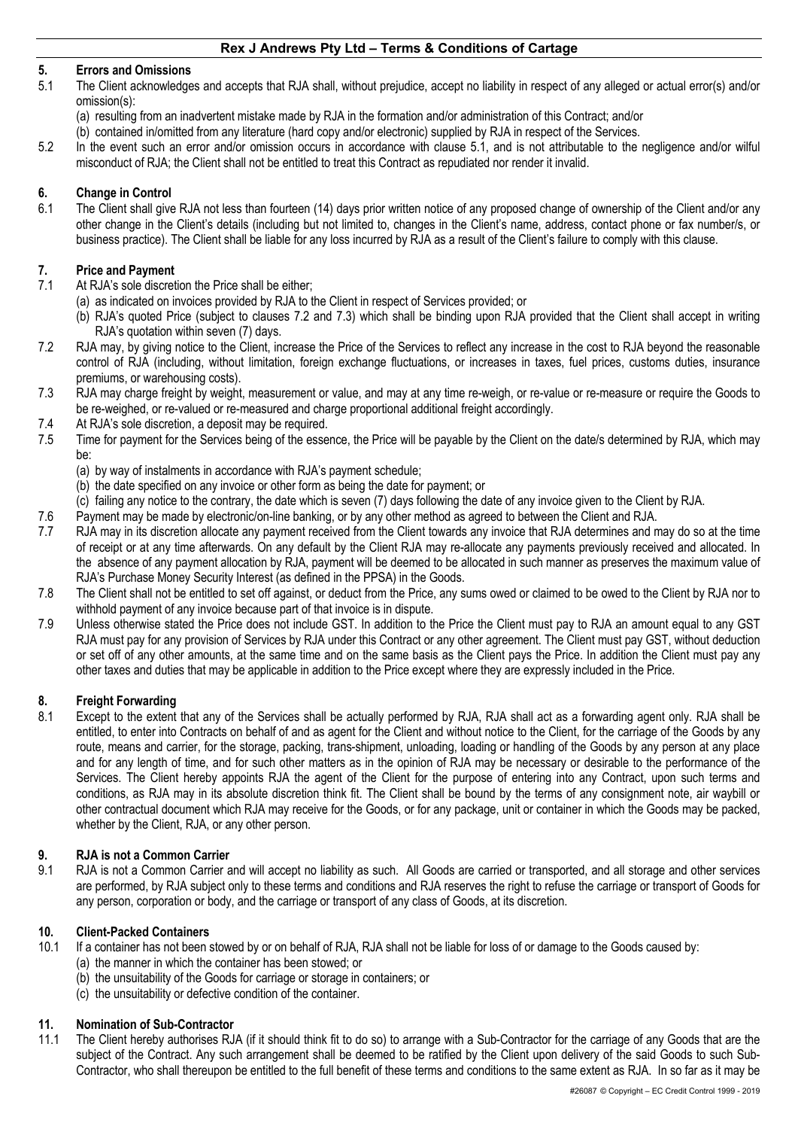## **5. Errors and Omissions**

- 5.1 The Client acknowledges and accepts that RJA shall, without prejudice, accept no liability in respect of any alleged or actual error(s) and/or omission(s):
	- (a) resulting from an inadvertent mistake made by RJA in the formation and/or administration of this Contract; and/or
	- (b) contained in/omitted from any literature (hard copy and/or electronic) supplied by RJA in respect of the Services.
- 5.2 In the event such an error and/or omission occurs in accordance with clause 5.1, and is not attributable to the negligence and/or wilful misconduct of RJA; the Client shall not be entitled to treat this Contract as repudiated nor render it invalid.

## **6. Change in Control**

6.1 The Client shall give RJA not less than fourteen (14) days prior written notice of any proposed change of ownership of the Client and/or any other change in the Client's details (including but not limited to, changes in the Client's name, address, contact phone or fax number/s, or business practice). The Client shall be liable for any loss incurred by RJA as a result of the Client's failure to comply with this clause.

### **7. Price and Payment**

- 7.1 At RJA's sole discretion the Price shall be either;
	- (a) as indicated on invoices provided by RJA to the Client in respect of Services provided; or
	- (b) RJA's quoted Price (subject to clauses 7.2 and 7.3) which shall be binding upon RJA provided that the Client shall accept in writing RJA's quotation within seven (7) days.
- 7.2 RJA may, by giving notice to the Client, increase the Price of the Services to reflect any increase in the cost to RJA beyond the reasonable control of RJA (including, without limitation, foreign exchange fluctuations, or increases in taxes, fuel prices, customs duties, insurance premiums, or warehousing costs).
- 7.3 RJA may charge freight by weight, measurement or value, and may at any time re-weigh, or re-value or re-measure or require the Goods to be re-weighed, or re-valued or re-measured and charge proportional additional freight accordingly.
- 7.4 At RJA's sole discretion, a deposit may be required.
- 7.5 Time for payment for the Services being of the essence, the Price will be payable by the Client on the date/s determined by RJA, which may be:
	- (a) by way of instalments in accordance with RJA's payment schedule;
	- (b) the date specified on any invoice or other form as being the date for payment; or
	- (c) failing any notice to the contrary, the date which is seven (7) days following the date of any invoice given to the Client by RJA.
- 7.6 Payment may be made by electronic/on-line banking, or by any other method as agreed to between the Client and RJA.
- 7.7 RJA may in its discretion allocate any payment received from the Client towards any invoice that RJA determines and may do so at the time of receipt or at any time afterwards. On any default by the Client RJA may re-allocate any payments previously received and allocated. In the absence of any payment allocation by RJA, payment will be deemed to be allocated in such manner as preserves the maximum value of RJA's Purchase Money Security Interest (as defined in the PPSA) in the Goods.
- 7.8 The Client shall not be entitled to set off against, or deduct from the Price, any sums owed or claimed to be owed to the Client by RJA nor to withhold payment of any invoice because part of that invoice is in dispute.
- 7.9 Unless otherwise stated the Price does not include GST. In addition to the Price the Client must pay to RJA an amount equal to any GST RJA must pay for any provision of Services by RJA under this Contract or any other agreement. The Client must pay GST, without deduction or set off of any other amounts, at the same time and on the same basis as the Client pays the Price. In addition the Client must pay any other taxes and duties that may be applicable in addition to the Price except where they are expressly included in the Price.

# **8. Freight Forwarding**

8.1 Except to the extent that any of the Services shall be actually performed by RJA, RJA shall act as a forwarding agent only. RJA shall be entitled, to enter into Contracts on behalf of and as agent for the Client and without notice to the Client, for the carriage of the Goods by any route, means and carrier, for the storage, packing, trans-shipment, unloading, loading or handling of the Goods by any person at any place and for any length of time, and for such other matters as in the opinion of RJA may be necessary or desirable to the performance of the Services. The Client hereby appoints RJA the agent of the Client for the purpose of entering into any Contract, upon such terms and conditions, as RJA may in its absolute discretion think fit. The Client shall be bound by the terms of any consignment note, air waybill or other contractual document which RJA may receive for the Goods, or for any package, unit or container in which the Goods may be packed, whether by the Client, RJA, or any other person.

#### **9. RJA is not a Common Carrier**

9.1 RJA is not a Common Carrier and will accept no liability as such. All Goods are carried or transported, and all storage and other services are performed, by RJA subject only to these terms and conditions and RJA reserves the right to refuse the carriage or transport of Goods for any person, corporation or body, and the carriage or transport of any class of Goods, at its discretion.

#### **10. Client-Packed Containers**

- 10.1 If a container has not been stowed by or on behalf of RJA, RJA shall not be liable for loss of or damage to the Goods caused by:
	- (a) the manner in which the container has been stowed; or
	- (b) the unsuitability of the Goods for carriage or storage in containers; or
	- (c) the unsuitability or defective condition of the container.

# **11. Nomination of Sub-Contractor**

11.1 The Client hereby authorises RJA (if it should think fit to do so) to arrange with a Sub-Contractor for the carriage of any Goods that are the subject of the Contract. Any such arrangement shall be deemed to be ratified by the Client upon delivery of the said Goods to such Sub-Contractor, who shall thereupon be entitled to the full benefit of these terms and conditions to the same extent as RJA. In so far as it may be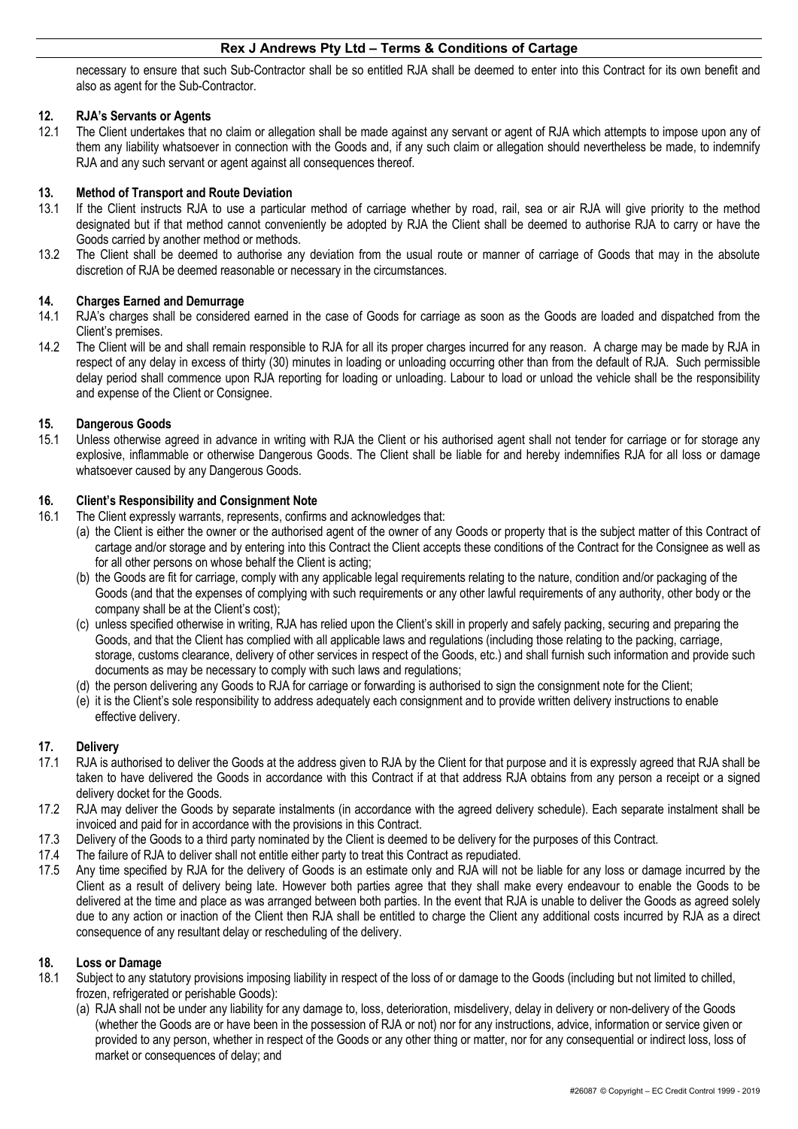necessary to ensure that such Sub-Contractor shall be so entitled RJA shall be deemed to enter into this Contract for its own benefit and also as agent for the Sub-Contractor.

## **12. RJA's Servants or Agents**

12.1 The Client undertakes that no claim or allegation shall be made against any servant or agent of RJA which attempts to impose upon any of them any liability whatsoever in connection with the Goods and, if any such claim or allegation should nevertheless be made, to indemnify RJA and any such servant or agent against all consequences thereof.

### **13. Method of Transport and Route Deviation**

- 13.1 If the Client instructs RJA to use a particular method of carriage whether by road, rail, sea or air RJA will give priority to the method designated but if that method cannot conveniently be adopted by RJA the Client shall be deemed to authorise RJA to carry or have the Goods carried by another method or methods.
- 13.2 The Client shall be deemed to authorise any deviation from the usual route or manner of carriage of Goods that may in the absolute discretion of RJA be deemed reasonable or necessary in the circumstances.

#### **14. Charges Earned and Demurrage**

- 14.1 RJA's charges shall be considered earned in the case of Goods for carriage as soon as the Goods are loaded and dispatched from the Client's premises.
- 14.2 The Client will be and shall remain responsible to RJA for all its proper charges incurred for any reason. A charge may be made by RJA in respect of any delay in excess of thirty (30) minutes in loading or unloading occurring other than from the default of RJA. Such permissible delay period shall commence upon RJA reporting for loading or unloading. Labour to load or unload the vehicle shall be the responsibility and expense of the Client or Consignee.

#### **15. Dangerous Goods**

15.1 Unless otherwise agreed in advance in writing with RJA the Client or his authorised agent shall not tender for carriage or for storage any explosive, inflammable or otherwise Dangerous Goods. The Client shall be liable for and hereby indemnifies RJA for all loss or damage whatsoever caused by any Dangerous Goods.

## **16. Client's Responsibility and Consignment Note**

- 16.1 The Client expressly warrants, represents, confirms and acknowledges that:
	- (a) the Client is either the owner or the authorised agent of the owner of any Goods or property that is the subject matter of this Contract of cartage and/or storage and by entering into this Contract the Client accepts these conditions of the Contract for the Consignee as well as for all other persons on whose behalf the Client is acting;
	- (b) the Goods are fit for carriage, comply with any applicable legal requirements relating to the nature, condition and/or packaging of the Goods (and that the expenses of complying with such requirements or any other lawful requirements of any authority, other body or the company shall be at the Client's cost);
	- (c) unless specified otherwise in writing, RJA has relied upon the Client's skill in properly and safely packing, securing and preparing the Goods, and that the Client has complied with all applicable laws and regulations (including those relating to the packing, carriage, storage, customs clearance, delivery of other services in respect of the Goods, etc.) and shall furnish such information and provide such documents as may be necessary to comply with such laws and regulations;
	- (d) the person delivering any Goods to RJA for carriage or forwarding is authorised to sign the consignment note for the Client;
	- (e) it is the Client's sole responsibility to address adequately each consignment and to provide written delivery instructions to enable effective delivery.

# **17. Delivery**

- 17.1 RJA is authorised to deliver the Goods at the address given to RJA by the Client for that purpose and it is expressly agreed that RJA shall be taken to have delivered the Goods in accordance with this Contract if at that address RJA obtains from any person a receipt or a signed delivery docket for the Goods.
- 17.2 RJA may deliver the Goods by separate instalments (in accordance with the agreed delivery schedule). Each separate instalment shall be invoiced and paid for in accordance with the provisions in this Contract.
- 17.3 Delivery of the Goods to a third party nominated by the Client is deemed to be delivery for the purposes of this Contract.
- 17.4 The failure of RJA to deliver shall not entitle either party to treat this Contract as repudiated.
- 17.5 Any time specified by RJA for the delivery of Goods is an estimate only and RJA will not be liable for any loss or damage incurred by the Client as a result of delivery being late. However both parties agree that they shall make every endeavour to enable the Goods to be delivered at the time and place as was arranged between both parties. In the event that RJA is unable to deliver the Goods as agreed solely due to any action or inaction of the Client then RJA shall be entitled to charge the Client any additional costs incurred by RJA as a direct consequence of any resultant delay or rescheduling of the delivery.

#### **18. Loss or Damage**

- 18.1 Subject to any statutory provisions imposing liability in respect of the loss of or damage to the Goods (including but not limited to chilled, frozen, refrigerated or perishable Goods):
	- (a) RJA shall not be under any liability for any damage to, loss, deterioration, misdelivery, delay in delivery or non-delivery of the Goods (whether the Goods are or have been in the possession of RJA or not) nor for any instructions, advice, information or service given or provided to any person, whether in respect of the Goods or any other thing or matter, nor for any consequential or indirect loss, loss of market or consequences of delay; and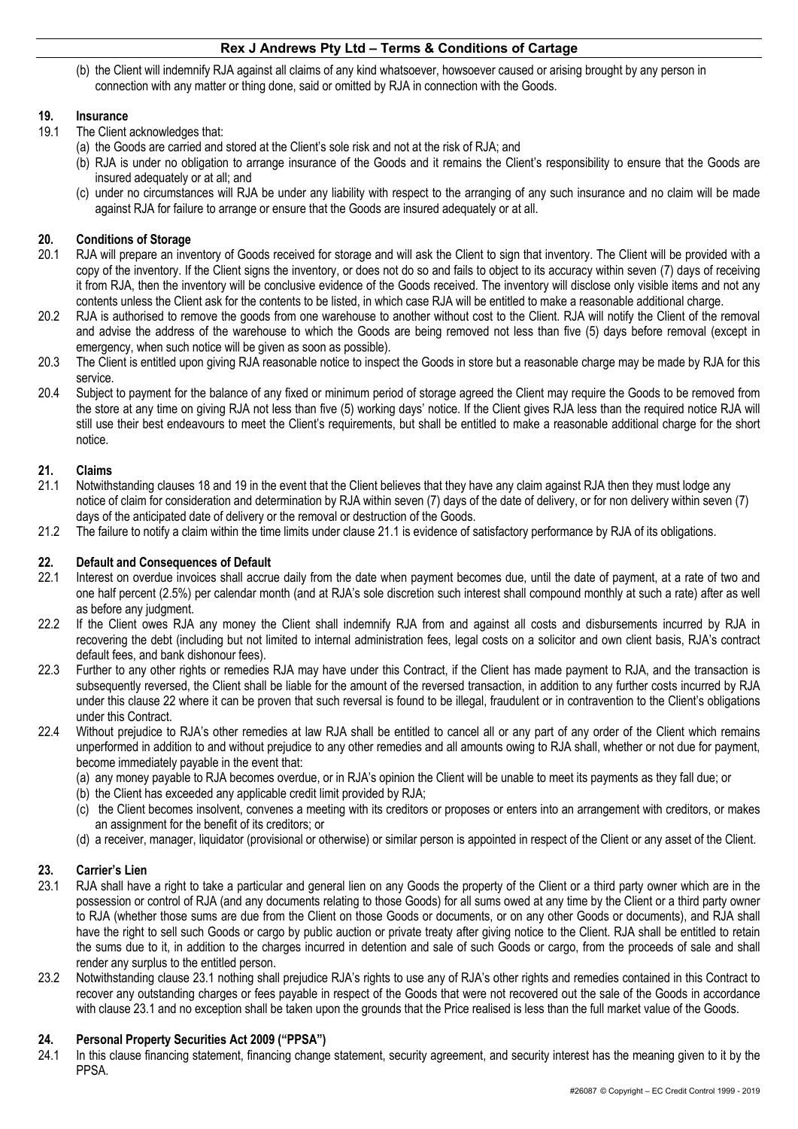(b) the Client will indemnify RJA against all claims of any kind whatsoever, howsoever caused or arising brought by any person in connection with any matter or thing done, said or omitted by RJA in connection with the Goods.

# **19. Insurance**

- 19.1 The Client acknowledges that:
	- (a) the Goods are carried and stored at the Client's sole risk and not at the risk of RJA; and
	- (b) RJA is under no obligation to arrange insurance of the Goods and it remains the Client's responsibility to ensure that the Goods are insured adequately or at all; and
	- (c) under no circumstances will RJA be under any liability with respect to the arranging of any such insurance and no claim will be made against RJA for failure to arrange or ensure that the Goods are insured adequately or at all.

# **20. Conditions of Storage**

- 20.1 RJA will prepare an inventory of Goods received for storage and will ask the Client to sign that inventory. The Client will be provided with a copy of the inventory. If the Client signs the inventory, or does not do so and fails to object to its accuracy within seven (7) days of receiving it from RJA, then the inventory will be conclusive evidence of the Goods received. The inventory will disclose only visible items and not any contents unless the Client ask for the contents to be listed, in which case RJA will be entitled to make a reasonable additional charge.
- 20.2 RJA is authorised to remove the goods from one warehouse to another without cost to the Client. RJA will notify the Client of the removal and advise the address of the warehouse to which the Goods are being removed not less than five (5) days before removal (except in emergency, when such notice will be given as soon as possible).
- 20.3 The Client is entitled upon giving RJA reasonable notice to inspect the Goods in store but a reasonable charge may be made by RJA for this service.
- 20.4 Subject to payment for the balance of any fixed or minimum period of storage agreed the Client may require the Goods to be removed from the store at any time on giving RJA not less than five (5) working days' notice. If the Client gives RJA less than the required notice RJA will still use their best endeavours to meet the Client's requirements, but shall be entitled to make a reasonable additional charge for the short notice.

# **21. Claims**

- 21.1 Notwithstanding clauses 18 and 19 in the event that the Client believes that they have any claim against RJA then they must lodge any notice of claim for consideration and determination by RJA within seven (7) days of the date of delivery, or for non delivery within seven (7) days of the anticipated date of delivery or the removal or destruction of the Goods.
- 21.2 The failure to notify a claim within the time limits under clause 21.1 is evidence of satisfactory performance by RJA of its obligations.

# **22. Default and Consequences of Default**

- 22.1 Interest on overdue invoices shall accrue daily from the date when payment becomes due, until the date of payment, at a rate of two and one half percent (2.5%) per calendar month (and at RJA's sole discretion such interest shall compound monthly at such a rate) after as well as before any judgment.
- 22.2 If the Client owes RJA any money the Client shall indemnify RJA from and against all costs and disbursements incurred by RJA in recovering the debt (including but not limited to internal administration fees, legal costs on a solicitor and own client basis, RJA's contract default fees, and bank dishonour fees).
- 22.3 Further to any other rights or remedies RJA may have under this Contract, if the Client has made payment to RJA, and the transaction is subsequently reversed, the Client shall be liable for the amount of the reversed transaction, in addition to any further costs incurred by RJA under this clause 22 where it can be proven that such reversal is found to be illegal, fraudulent or in contravention to the Client's obligations under this Contract.
- 22.4 Without prejudice to RJA's other remedies at law RJA shall be entitled to cancel all or any part of any order of the Client which remains unperformed in addition to and without prejudice to any other remedies and all amounts owing to RJA shall, whether or not due for payment, become immediately payable in the event that:
	- (a) any money payable to RJA becomes overdue, or in RJA's opinion the Client will be unable to meet its payments as they fall due; or
	- (b) the Client has exceeded any applicable credit limit provided by RJA;
	- (c) the Client becomes insolvent, convenes a meeting with its creditors or proposes or enters into an arrangement with creditors, or makes an assignment for the benefit of its creditors; or
	- (d) a receiver, manager, liquidator (provisional or otherwise) or similar person is appointed in respect of the Client or any asset of the Client.

# **23. Carrier's Lien**

- 23.1 RJA shall have a right to take a particular and general lien on any Goods the property of the Client or a third party owner which are in the possession or control of RJA (and any documents relating to those Goods) for all sums owed at any time by the Client or a third party owner to RJA (whether those sums are due from the Client on those Goods or documents, or on any other Goods or documents), and RJA shall have the right to sell such Goods or cargo by public auction or private treaty after giving notice to the Client. RJA shall be entitled to retain the sums due to it, in addition to the charges incurred in detention and sale of such Goods or cargo, from the proceeds of sale and shall render any surplus to the entitled person.
- 23.2 Notwithstanding clause 23.1 nothing shall prejudice RJA's rights to use any of RJA's other rights and remedies contained in this Contract to recover any outstanding charges or fees payable in respect of the Goods that were not recovered out the sale of the Goods in accordance with clause 23.1 and no exception shall be taken upon the grounds that the Price realised is less than the full market value of the Goods.

# **24. Personal Property Securities Act 2009 ("PPSA")**

24.1 In this clause financing statement, financing change statement, security agreement, and security interest has the meaning given to it by the PPSA.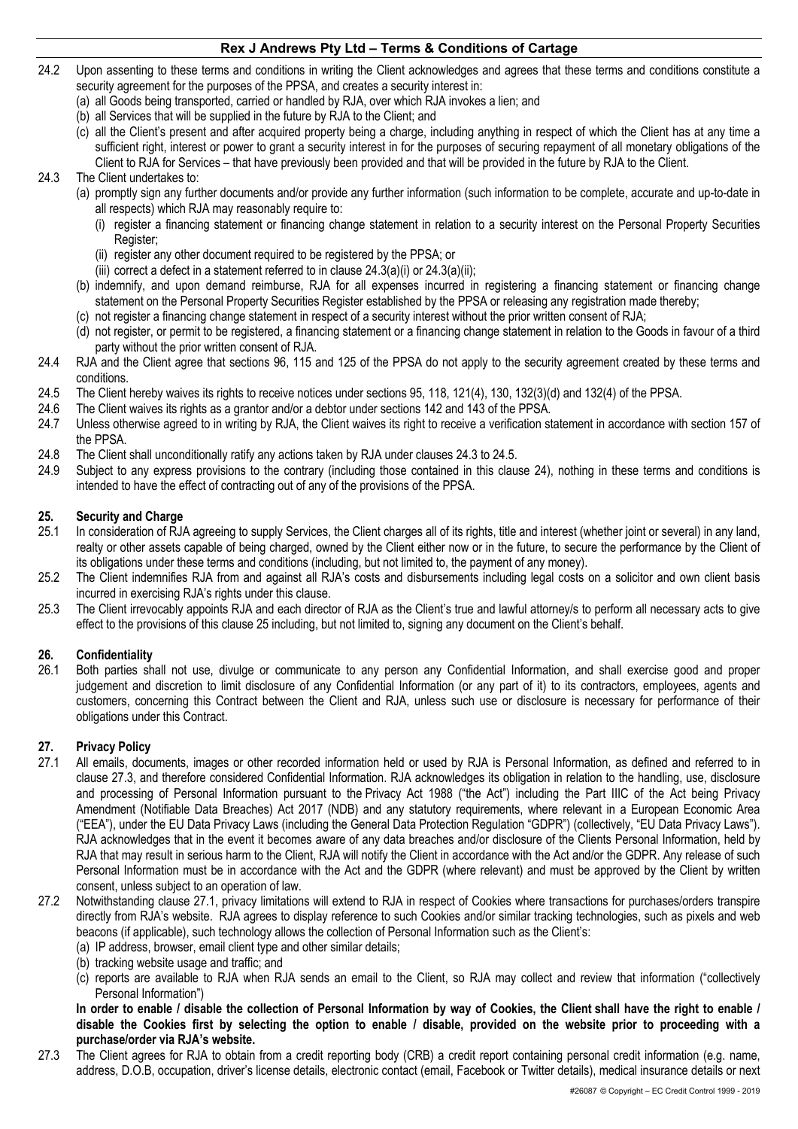- 24.2 Upon assenting to these terms and conditions in writing the Client acknowledges and agrees that these terms and conditions constitute a security agreement for the purposes of the PPSA, and creates a security interest in:
	- (a) all Goods being transported, carried or handled by RJA, over which RJA invokes a lien; and
	- (b) all Services that will be supplied in the future by RJA to the Client; and
	- (c) all the Client's present and after acquired property being a charge, including anything in respect of which the Client has at any time a sufficient right, interest or power to grant a security interest in for the purposes of securing repayment of all monetary obligations of the Client to RJA for Services – that have previously been provided and that will be provided in the future by RJA to the Client.

## 24.3 The Client undertakes to:

- (a) promptly sign any further documents and/or provide any further information (such information to be complete, accurate and up-to-date in all respects) which RJA may reasonably require to:
	- (i) register a financing statement or financing change statement in relation to a security interest on the Personal Property Securities Register;
	- (ii) register any other document required to be registered by the PPSA; or
	- (iii) correct a defect in a statement referred to in clause  $24.3(a)(i)$  or  $24.3(a)(ii)$ ;
- (b) indemnify, and upon demand reimburse, RJA for all expenses incurred in registering a financing statement or financing change statement on the Personal Property Securities Register established by the PPSA or releasing any registration made thereby;
- (c) not register a financing change statement in respect of a security interest without the prior written consent of RJA;
- (d) not register, or permit to be registered, a financing statement or a financing change statement in relation to the Goods in favour of a third party without the prior written consent of RJA.
- 24.4 RJA and the Client agree that sections 96, 115 and 125 of the PPSA do not apply to the security agreement created by these terms and conditions.
- 24.5 The Client hereby waives its rights to receive notices under sections 95, 118, 121(4), 130, 132(3)(d) and 132(4) of the PPSA.
- 24.6 The Client waives its rights as a grantor and/or a debtor under sections 142 and 143 of the PPSA.
- 24.7 Unless otherwise agreed to in writing by RJA, the Client waives its right to receive a verification statement in accordance with section 157 of the PPSA.
- 24.8 The Client shall unconditionally ratify any actions taken by RJA under clauses 24.3 to 24.5.
- 24.9 Subject to any express provisions to the contrary (including those contained in this clause 24), nothing in these terms and conditions is intended to have the effect of contracting out of any of the provisions of the PPSA.

## **25. Security and Charge**

- 25.1 In consideration of RJA agreeing to supply Services, the Client charges all of its rights, title and interest (whether joint or several) in any land, realty or other assets capable of being charged, owned by the Client either now or in the future, to secure the performance by the Client of its obligations under these terms and conditions (including, but not limited to, the payment of any money).
- 25.2 The Client indemnifies RJA from and against all RJA's costs and disbursements including legal costs on a solicitor and own client basis incurred in exercising RJA's rights under this clause.
- 25.3 The Client irrevocably appoints RJA and each director of RJA as the Client's true and lawful attorney/s to perform all necessary acts to give effect to the provisions of this clause 25 including, but not limited to, signing any document on the Client's behalf.

# **26. Confidentiality**

26.1 Both parties shall not use, divulge or communicate to any person any Confidential Information, and shall exercise good and proper judgement and discretion to limit disclosure of any Confidential Information (or any part of it) to its contractors, employees, agents and customers, concerning this Contract between the Client and RJA, unless such use or disclosure is necessary for performance of their obligations under this Contract.

# **27. Privacy Policy**

- All emails, documents, images or other recorded information held or used by RJA is Personal Information, as defined and referred to in clause 27.3, and therefore considered Confidential Information. RJA acknowledges its obligation in relation to the handling, use, disclosure and processing of Personal Information pursuant to the Privacy Act 1988 ("the Act") including the Part IIIC of the Act being Privacy Amendment (Notifiable Data Breaches) Act 2017 (NDB) and any statutory requirements, where relevant in a European Economic Area ("EEA"), under the EU Data Privacy Laws (including the General Data Protection Regulation "GDPR") (collectively, "EU Data Privacy Laws"). RJA acknowledges that in the event it becomes aware of any data breaches and/or disclosure of the Clients Personal Information, held by RJA that may result in serious harm to the Client, RJA will notify the Client in accordance with the Act and/or the GDPR. Any release of such Personal Information must be in accordance with the Act and the GDPR (where relevant) and must be approved by the Client by written consent, unless subject to an operation of law.
- 27.2 Notwithstanding clause 27.1, privacy limitations will extend to RJA in respect of Cookies where transactions for purchases/orders transpire directly from RJA's website. RJA agrees to display reference to such Cookies and/or similar tracking technologies, such as pixels and web beacons (if applicable), such technology allows the collection of Personal Information such as the Client's:
	- (a) IP address, browser, email client type and other similar details;
	- (b) tracking website usage and traffic; and
	- (c) reports are available to RJA when RJA sends an email to the Client, so RJA may collect and review that information ("collectively Personal Information")

**In order to enable / disable the collection of Personal Information by way of Cookies, the Client shall have the right to enable / disable the Cookies first by selecting the option to enable / disable, provided on the website prior to proceeding with a purchase/order via RJA's website.** 

27.3 The Client agrees for RJA to obtain from a credit reporting body (CRB) a credit report containing personal credit information (e.g. name, address, D.O.B, occupation, driver's license details, electronic contact (email, Facebook or Twitter details), medical insurance details or next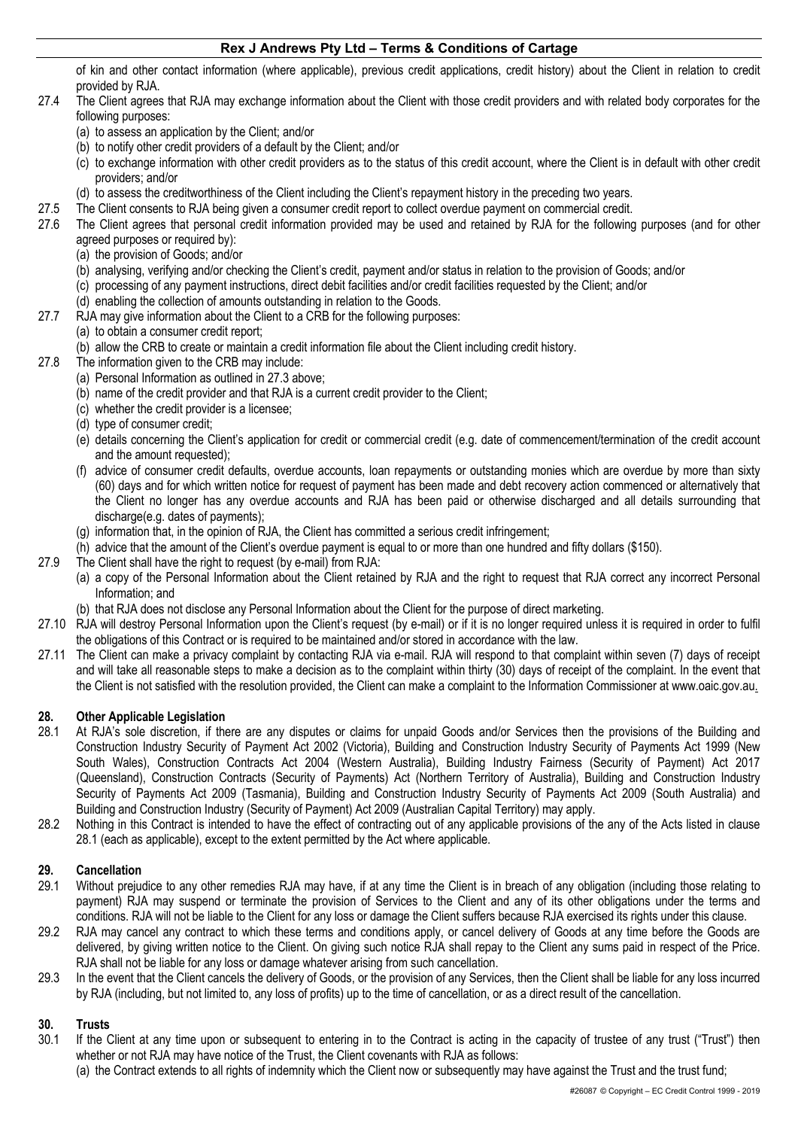of kin and other contact information (where applicable), previous credit applications, credit history) about the Client in relation to credit provided by RJA.

- 27.4 The Client agrees that RJA may exchange information about the Client with those credit providers and with related body corporates for the following purposes:
	- (a) to assess an application by the Client; and/or
	- (b) to notify other credit providers of a default by the Client; and/or
	- (c) to exchange information with other credit providers as to the status of this credit account, where the Client is in default with other credit providers; and/or
	- (d) to assess the creditworthiness of the Client including the Client's repayment history in the preceding two years.
- 27.5 The Client consents to RJA being given a consumer credit report to collect overdue payment on commercial credit.
- 27.6 The Client agrees that personal credit information provided may be used and retained by RJA for the following purposes (and for other agreed purposes or required by):
	- (a) the provision of Goods; and/or
	- (b) analysing, verifying and/or checking the Client's credit, payment and/or status in relation to the provision of Goods; and/or
	- (c) processing of any payment instructions, direct debit facilities and/or credit facilities requested by the Client; and/or
	- (d) enabling the collection of amounts outstanding in relation to the Goods.
- 27.7 RJA may give information about the Client to a CRB for the following purposes:
	- (a) to obtain a consumer credit report;
	- (b) allow the CRB to create or maintain a credit information file about the Client including credit history.
- 27.8 The information given to the CRB may include:
	- (a) Personal Information as outlined in 27.3 above;
	- (b) name of the credit provider and that RJA is a current credit provider to the Client;
	- (c) whether the credit provider is a licensee;
	- (d) type of consumer credit;
	- (e) details concerning the Client's application for credit or commercial credit (e.g. date of commencement/termination of the credit account and the amount requested);
	- (f) advice of consumer credit defaults, overdue accounts, loan repayments or outstanding monies which are overdue by more than sixty (60) days and for which written notice for request of payment has been made and debt recovery action commenced or alternatively that the Client no longer has any overdue accounts and RJA has been paid or otherwise discharged and all details surrounding that discharge(e.g. dates of payments);
	- (g) information that, in the opinion of RJA, the Client has committed a serious credit infringement;
	- (h) advice that the amount of the Client's overdue payment is equal to or more than one hundred and fifty dollars (\$150).
- 27.9 The Client shall have the right to request (by e-mail) from RJA:
	- (a) a copy of the Personal Information about the Client retained by RJA and the right to request that RJA correct any incorrect Personal Information; and
	- (b) that RJA does not disclose any Personal Information about the Client for the purpose of direct marketing.
- 27.10 RJA will destroy Personal Information upon the Client's request (by e-mail) or if it is no longer required unless it is required in order to fulfil the obligations of this Contract or is required to be maintained and/or stored in accordance with the law.
- 27.11 The Client can make a privacy complaint by contacting RJA via e-mail. RJA will respond to that complaint within seven (7) days of receipt and will take all reasonable steps to make a decision as to the complaint within thirty (30) days of receipt of the complaint. In the event that the Client is not satisfied with the resolution provided, the Client can make a complaint to the Information Commissioner at www.oaic.gov.au.

# **28. Other Applicable Legislation**

- 28.1 At RJA's sole discretion, if there are any disputes or claims for unpaid Goods and/or Services then the provisions of the Building and Construction Industry Security of Payment Act 2002 (Victoria), Building and Construction Industry Security of Payments Act 1999 (New South Wales), Construction Contracts Act 2004 (Western Australia), Building Industry Fairness (Security of Payment) Act 2017 (Queensland), Construction Contracts (Security of Payments) Act (Northern Territory of Australia), Building and Construction Industry Security of Payments Act 2009 (Tasmania), Building and Construction Industry Security of Payments Act 2009 (South Australia) and Building and Construction Industry (Security of Payment) Act 2009 (Australian Capital Territory) may apply.
- 28.2 Nothing in this Contract is intended to have the effect of contracting out of any applicable provisions of the any of the Acts listed in clause 28.1 (each as applicable), except to the extent permitted by the Act where applicable.

# **29. Cancellation**

- 29.1 Without prejudice to any other remedies RJA may have, if at any time the Client is in breach of any obligation (including those relating to payment) RJA may suspend or terminate the provision of Services to the Client and any of its other obligations under the terms and conditions. RJA will not be liable to the Client for any loss or damage the Client suffers because RJA exercised its rights under this clause.
- 29.2 RJA may cancel any contract to which these terms and conditions apply, or cancel delivery of Goods at any time before the Goods are delivered, by giving written notice to the Client. On giving such notice RJA shall repay to the Client any sums paid in respect of the Price. RJA shall not be liable for any loss or damage whatever arising from such cancellation.
- 29.3 In the event that the Client cancels the delivery of Goods, or the provision of any Services, then the Client shall be liable for any loss incurred by RJA (including, but not limited to, any loss of profits) up to the time of cancellation, or as a direct result of the cancellation.

# **30. Trusts**

- 30.1 If the Client at any time upon or subsequent to entering in to the Contract is acting in the capacity of trustee of any trust ("Trust") then whether or not RJA may have notice of the Trust, the Client covenants with RJA as follows:
	- (a) the Contract extends to all rights of indemnity which the Client now or subsequently may have against the Trust and the trust fund;